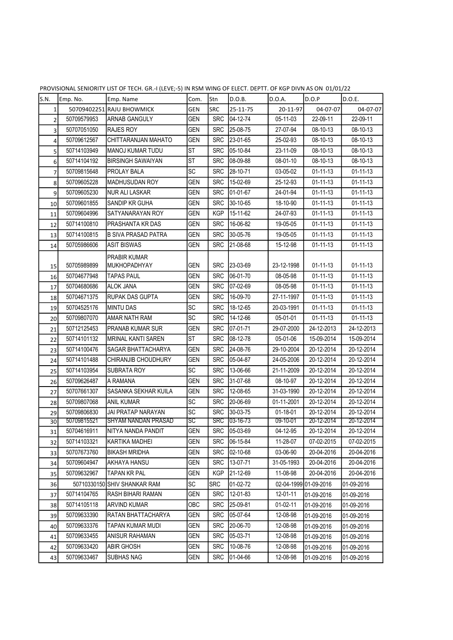| S.N.                    | Emp. No.    | Emp. Name                    | Com.       | Stn        | D.O.B.           | D.O.A.         | D.O.P                 | D.O.E.         |
|-------------------------|-------------|------------------------------|------------|------------|------------------|----------------|-----------------------|----------------|
| 1                       | 50709402251 | <b>RAJU BHOWMICK</b>         | GEN        | <b>SRC</b> | 25-11-75         | 20-11-97       | 04-07-07              | 04-07-07       |
| $\overline{\mathbf{c}}$ | 50709579953 | <b>ARNAB GANGULY</b>         | <b>GEN</b> | <b>SRC</b> | 04-12-74         | 05-11-03       | 22-09-11              | 22-09-11       |
| 3                       | 50707051050 | <b>RAJES ROY</b>             | GEN        | <b>SRC</b> | 25-08-75         | 27-07-94       | 08-10-13              | 08-10-13       |
| $\sqrt{4}$              | 50709612567 | CHITTARANJAN MAHATO          | <b>GEN</b> | <b>SRC</b> | 23-01-65         | 25-02-93       | 08-10-13              | 08-10-13       |
| 5                       | 50714103949 | <b>MANOJ KUMAR TUDU</b>      | ST         | <b>SRC</b> | 05-10-84         | 23-11-09       | 08-10-13              | 08-10-13       |
| 6                       | 50714104192 | <b>BIRSINGH SAWAIYAN</b>     | ST         | <b>SRC</b> | 08-09-88         | 08-01-10       | 08-10-13              | 08-10-13       |
| $\overline{7}$          | 50709815648 | <b>PROLAY BALA</b>           | SC         | <b>SRC</b> | 28-10-71         | 03-05-02       | $01 - 11 - 13$        | $01 - 11 - 13$ |
| 8                       | 50709605228 | <b>MADHUSUDAN ROY</b>        | <b>GEN</b> | <b>SRC</b> | 15-02-69         | 25-12-93       | $01 - 11 - 13$        | $01 - 11 - 13$ |
| 9                       | 50709605230 | <b>NUR ALI LASKAR</b>        | <b>GEN</b> | <b>SRC</b> | 01-01-67         | 24-01-94       | $01 - 11 - 13$        | $01 - 11 - 13$ |
| 10                      | 50709601855 | SANDIP KR GUHA               | <b>GEN</b> | <b>SRC</b> | 30-10-65         | 18-10-90       | $01 - 11 - 13$        | $01 - 11 - 13$ |
| 11                      | 50709604996 | SATYANARAYAN ROY             | <b>GEN</b> | <b>KGP</b> | 15-11-62         | 24-07-93       | $01 - 11 - 13$        | $01 - 11 - 13$ |
| 12                      | 50714100810 | PRASHANTA KR DAS             | <b>GEN</b> | <b>SRC</b> | 16-06-82         | 19-05-05       | $01 - 11 - 13$        | $01 - 11 - 13$ |
| 13                      | 50714100815 | <b>B SIVA PRASAD PATRA</b>   | <b>GEN</b> | <b>SRC</b> | 30-05-76         | 19-05-05       | $01 - 11 - 13$        | $01 - 11 - 13$ |
| 14                      | 50705986606 | <b>ASIT BISWAS</b>           | <b>GEN</b> | <b>SRC</b> | 21-08-68         | 15-12-98       | $01 - 11 - 13$        | $01 - 11 - 13$ |
|                         |             | PRABIR KUMAR                 |            |            |                  |                |                       |                |
| 15                      | 50705989899 | <b>MUKHOPADHYAY</b>          | <b>GEN</b> | <b>SRC</b> | 23-03-69         | 23-12-1998     | $01 - 11 - 13$        | $01 - 11 - 13$ |
| 16                      | 50704677948 | <b>TAPAS PAUL</b>            | <b>GEN</b> | <b>SRC</b> | 06-01-70         | 08-05-98       | $01 - 11 - 13$        | $01 - 11 - 13$ |
| 17                      | 50704680686 | <b>ALOK JANA</b>             | <b>GEN</b> | <b>SRC</b> | 07-02-69         | 08-05-98       | $01 - 11 - 13$        | $01 - 11 - 13$ |
| 18                      | 50704671375 | <b>RUPAK DAS GUPTA</b>       | <b>GEN</b> | <b>SRC</b> | 16-09-70         | 27-11-1997     | $01 - 11 - 13$        | $01 - 11 - 13$ |
| 19                      | 50704525176 | <b>MINTU DAS</b>             | <b>SC</b>  | <b>SRC</b> | 18-12-65         | 20-03-1991     | $01 - 11 - 13$        | $01 - 11 - 13$ |
| 20                      | 50709807070 | AMAR NATH RAM                | SC         | <b>SRC</b> | 14-12-66         | 05-01-01       | $01 - 11 - 13$        | $01 - 11 - 13$ |
| 21                      | 50712125453 | <b>PRANAB KUMAR SUR</b>      | <b>GEN</b> | <b>SRC</b> | 07-01-71         | 29-07-2000     | 24-12-2013            | 24-12-2013     |
| 22                      | 50714101132 | <b>MRINAL KANTI SAREN</b>    | <b>ST</b>  | <b>SRC</b> | 08-12-78         | 05-01-06       | 15-09-2014            | 15-09-2014     |
| 23                      | 50714100476 | SAGAR BHATTACHARYA           | <b>GEN</b> | <b>SRC</b> | 24-08-76         | 29-10-2004     | 20-12-2014            | 20-12-2014     |
| 24                      | 50714101488 | CHIRANJIB CHOUDHURY          | <b>GEN</b> | <b>SRC</b> | 05-04-87         | 24-05-2006     | 20-12-2014            | 20-12-2014     |
| 25                      | 50714103954 | SUBRATA ROY                  | SC         | <b>SRC</b> | 13-06-66         | 21-11-2009     | 20-12-2014            | 20-12-2014     |
| 26                      | 50709626487 | A RAMANA                     | <b>GEN</b> | <b>SRC</b> | 31-07-68         | 08-10-97       | 20-12-2014            | 20-12-2014     |
| 27                      | 50707661307 | SASANKA SEKHAR KUILA         | <b>GEN</b> | <b>SRC</b> | 12-08-65         | 31-03-1990     | 20-12-2014            | 20-12-2014     |
| 28                      | 50709807068 | <b>ANIL KUMAR</b>            | <b>SC</b>  | <b>SRC</b> | 20-06-69         | 01-11-2001     | 20-12-2014            | 20-12-2014     |
| 29                      | 50709806830 | JAI PRATAP NARAYAN           | SC         | <b>SRC</b> | 30-03-75         | $01 - 18 - 01$ | 20-12-2014            | 20-12-2014     |
| $\overline{30}$         | 50709815521 | <b>SHYAM NANDAN PRASAD</b>   | SC         | SRC        | $ 03 - 16 - 73 $ | 09-10-01       | 20-12-2014            | 20-12-2014     |
| 31                      | 50704616911 | NITYA NANDA PANDIT           | <b>GEN</b> |            | SRC 05-03-69     | 04-12-95       | 20-12-2014            | 20-12-2014     |
| 32                      | 50714103321 | KARTIKA MADHEI               | GEN        | <b>SRC</b> | 06-15-84         | 11-28-07       | 07-02-2015            | 07-02-2015     |
| 33                      | 50707673760 | <b>BIKASH MRIDHA</b>         | GEN        | <b>SRC</b> | 02-10-68         | 03-06-90       | 20-04-2016            | 20-04-2016     |
| 34                      | 50709604947 | AKHAYA HANSU                 | GEN        | <b>SRC</b> | 13-07-71         | 31-05-1993     | 20-04-2016            | 20-04-2016     |
| 35                      | 50709632967 | <b>TAPAN KR PAL</b>          | GEN        | <b>KGP</b> | 21-12-69         | 11-08-98       | 20-04-2016            | 20-04-2016     |
| 36                      |             | 50710330150 SHIV SHANKAR RAM | SC         | <b>SRC</b> | 01-02-72         |                | 02-04-1999 01-09-2016 | 01-09-2016     |
| 37                      | 50714104765 | RASH BIHARI RAMAN            | GEN        | <b>SRC</b> | 12-01-83         | 12-01-11       | 01-09-2016            | 01-09-2016     |
| 38                      | 50714105118 | <b>ARVIND KUMAR</b>          | OBC        | <b>SRC</b> | 25-09-81         | 01-02-11       | 01-09-2016            | 01-09-2016     |
| 39                      | 50709633390 | RATAN BHATTACHARYA           | GEN        | <b>SRC</b> | 05-07-64         | 12-08-98       | 01-09-2016            | 01-09-2016     |
| 40                      | 50709633376 | TAPAN KUMAR MUDI             | GEN        | <b>SRC</b> | 20-06-70         | 12-08-98       | 01-09-2016            | 01-09-2016     |
| 41                      | 50709633455 | ANISUR RAHAMAN               | GEN        | <b>SRC</b> | 05-03-71         | 12-08-98       | 01-09-2016            | 01-09-2016     |
| 42                      | 50709633420 | <b>ABIR GHOSH</b>            | GEN        | <b>SRC</b> | 10-08-76         | 12-08-98       | 01-09-2016            | 01-09-2016     |
| 43                      | 50709633467 | <b>SUBHAS NAG</b>            | GEN        | <b>SRC</b> | 01-04-66         | 12-08-98       | 01-09-2016            | 01-09-2016     |

PROVISIONAL SENIORITY LIST OF TECH. GR.-I (LEVE;-5) IN RSM WING OF ELECT. DEPTT. OF KGP DIVN AS ON 01/01/22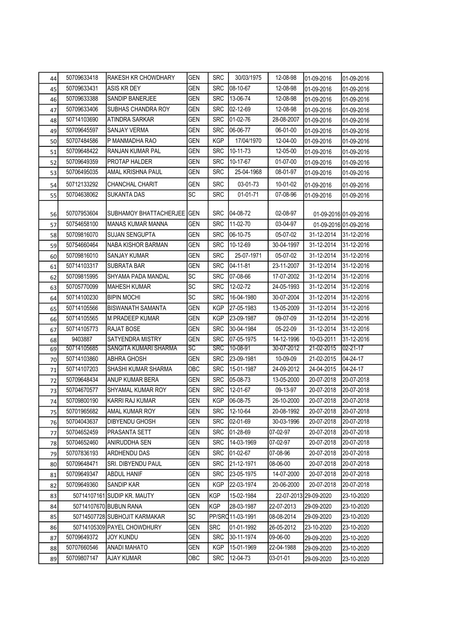| 44 | 50709633418 | RAKESH KR CHOWDHARY           | <b>GEN</b>      | <b>SRC</b> | 30/03/1975       | 12-08-98   | 01-09-2016            | 01-09-2016            |
|----|-------------|-------------------------------|-----------------|------------|------------------|------------|-----------------------|-----------------------|
| 45 | 50709633431 | ASIS KR DEY                   | <b>GEN</b>      | <b>SRC</b> | 08-10-67         | 12-08-98   | 01-09-2016            | 01-09-2016            |
| 46 | 50709633388 | SANDIP BANERJEE               | GEN             | <b>SRC</b> | 13-06-74         | 12-08-98   | 01-09-2016            | 01-09-2016            |
| 47 | 50709633406 | SUBHAS CHANDRA ROY            | GEN             | <b>SRC</b> | 02-12-69         | 12-08-98   | 01-09-2016            | 01-09-2016            |
| 48 | 50714103690 | ATINDRA SARKAR                | <b>GEN</b>      | <b>SRC</b> | 01-02-76         | 28-08-2007 | 01-09-2016            | 01-09-2016            |
| 49 | 50709645597 | SANJAY VERMA                  | GEN             | <b>SRC</b> | 06-06-77         | 06-01-00   | 01-09-2016            | 01-09-2016            |
| 50 | 50707484586 | P MANMADHA RAO                | <b>GEN</b>      | <b>KGP</b> | 17/04/1970       | 12-04-00   | 01-09-2016            | 01-09-2016            |
| 51 | 50709648422 | RANJAN KUMAR PAL              | <b>GEN</b>      | <b>SRC</b> | 10-11-73         | 12-05-00   | 01-09-2016            | 01-09-2016            |
| 52 | 50709649359 | PROTAP HALDER                 | <b>GEN</b>      | <b>SRC</b> | 10-17-67         | 01-07-00   | 01-09-2016            | 01-09-2016            |
| 53 | 50706495035 | AMAL KRISHNA PAUL             | <b>GEN</b>      | <b>SRC</b> | 25-04-1968       | 08-01-97   | 01-09-2016            | 01-09-2016            |
| 54 | 50712133292 | CHANCHAL CHARIT               | <b>GEN</b>      | <b>SRC</b> | 03-01-73         | 10-01-02   | 01-09-2016            | 01-09-2016            |
| 55 | 50704638062 | <b>SUKANTA DAS</b>            | <b>SC</b>       | <b>SRC</b> | 01-01-71         | 07-08-96   | 01-09-2016            | 01-09-2016            |
| 56 | 50707953604 | SUBHAMOY BHATTACHERJEE GEN    |                 | <b>SRC</b> | 04-08-72         | 02-08-97   |                       | 01-09-2016 01-09-2016 |
| 57 | 50754658100 | <b>MANAS KUMAR MANNA</b>      | <b>GEN</b>      | <b>SRC</b> | 11-02-70         | 03-04-97   |                       | 01-09-2016 01-09-2016 |
| 58 | 50709816070 | <b>SUJAN SENGUPTA</b>         | <b>GEN</b>      | <b>SRC</b> | 06-10-75         | 05-07-02   | 31-12-2014            | 31-12-2016            |
| 59 | 50754660464 | NABA KISHOR BARMAN            | <b>GEN</b>      | <b>SRC</b> | 10-12-69         | 30-04-1997 | 31-12-2014            | 31-12-2016            |
| 60 | 50709816010 | <b>SANJAY KUMAR</b>           | <b>GEN</b>      | <b>SRC</b> | 25-07-1971       | 05-07-02   | 31-12-2014            | 31-12-2016            |
| 61 | 50714103317 | <b>SUBRATA BAR</b>            | <b>GEN</b>      | <b>SRC</b> | 04-11-81         | 23-11-2007 | 31-12-2014            | 31-12-2016            |
| 62 | 50709815995 | SHYAMA PADA MANDAL            | SC              | <b>SRC</b> | 07-08-66         | 17-07-2002 | 31-12-2014            | 31-12-2016            |
| 63 | 50705770099 | <b>MAHESH KUMAR</b>           | SC              | <b>SRC</b> | 12-02-72         | 24-05-1993 | 31-12-2014            | 31-12-2016            |
| 64 | 50714100230 | <b>BIPIN MOCHI</b>            | SC              | <b>SRC</b> | 16-04-1980       | 30-07-2004 | 31-12-2014            | 31-12-2016            |
| 65 | 50714105566 | <b>BISWANATH SAMANTA</b>      | <b>GEN</b>      | <b>KGP</b> | 27-05-1983       | 13-05-2009 | 31-12-2014            | 31-12-2016            |
| 66 | 50714105565 | M PRADEEP KUMAR               | <b>GEN</b>      | <b>KGP</b> | 23-09-1987       | 09-07-09   | 31-12-2014            | 31-12-2016            |
| 67 | 50714105773 | RAJAT BOSE                    | <b>GEN</b>      | <b>SRC</b> | 30-04-1984       | 05-22-09   | 31-12-2014            | 31-12-2016            |
| 68 | 9403887     | SATYENDRA MISTRY              | <b>GEN</b>      | <b>SRC</b> | 07-05-1975       | 14-12-1996 | 10-03-2011            | 31-12-2016            |
| 69 | 50714105685 | SANGITA KUMARI SHARMA         | $\overline{SC}$ | <b>SRC</b> | 10-08-91         | 30-07-2012 | 21-02-2015            | $02 - 21 - 17$        |
| 70 | 50714103860 | ABHRA GHOSH                   | GEN             | <b>SRC</b> | 23-09-1981       | 10-09-09   | 21-02-2015            | 04-24-17              |
| 71 | 50714107203 | SHASHI KUMAR SHARMA           | ОВС             | <b>SRC</b> | 15-01-1987       | 24-09-2012 | 24-04-2015            | 04-24-17              |
| 72 | 50709648434 | ANUP KUMAR BERA               | GEN             | <b>SRC</b> | 05-08-73         | 13-05-2000 | 20-07-2018            | 20-07-2018            |
| 73 | 50704670577 | SHYAMAL KUMAR ROY             | <b>GEN</b>      | <b>SRC</b> | 12-01-67         | 09-13-97   | 20-07-2018            | 20-07-2018            |
| 74 | 50709800190 | KARRI RAJ KUMAR               | <b>GEN</b>      | <b>KGP</b> | 06-08-75         | 26-10-2000 | 20-07-2018            | 20-07-2018            |
| 75 | 50701965682 | AMAL KUMAR ROY                | GEN             |            | SRC 12-10-64     | 20-08-1992 | 20-07-2018            | 20-07-2018            |
| 76 | 50704043637 | DIBYENDU GHOSH                | GEN             | <b>SRC</b> | 02-01-69         | 30-03-1996 | 20-07-2018            | 20-07-2018            |
| 77 | 50704652459 | PRASANTA SETT                 | GEN             | <b>SRC</b> | 01-28-69         | 07-02-97   | 20-07-2018            | 20-07-2018            |
| 78 | 50704652460 | ANIRUDDHA SEN                 | GEN             | <b>SRC</b> | 14-03-1969       | 07-02-97   | 20-07-2018            | 20-07-2018            |
| 79 | 50707836193 | ARDHENDU DAS                  | GEN             | <b>SRC</b> | 01-02-67         | 07-08-96   | 20-07-2018            | 20-07-2018            |
| 80 | 50709648471 | SRI. DIBYENDU PAUL            | GEN             | <b>SRC</b> | 21-12-1971       | 08-06-00   | 20-07-2018            | 20-07-2018            |
| 81 | 50709649347 | <b>ABDUL HANIF</b>            | GEN             | <b>SRC</b> | 23-05-1975       | 14-07-2000 | 20-07-2018            | 20-07-2018            |
| 82 | 50709649360 | SANDIP KAR                    | GEN             | <b>KGP</b> | 22-03-1974       | 20-06-2000 | 20-07-2018            | 20-07-2018            |
| 83 |             | 50714107161 SUDIP KR. MAUTY   | <b>GEN</b>      | KGP        | 15-02-1984       |            | 22-07-2013 29-09-2020 | 23-10-2020            |
| 84 |             | 50714107670 BUBUN RANA        | GEN             | <b>KGP</b> | 28-03-1987       | 22-07-2013 | 29-09-2020            | 23-10-2020            |
| 85 |             | 50714507728 SUBHOJIT KARMAKAR | SC              |            | PP/SRQ11-03-1991 | 08-08-2014 | 29-09-2020            | 23-10-2020            |
| 86 |             | 50714105309 PAYEL CHOWDHURY   | GEN             | <b>SRC</b> | 01-01-1992       | 26-05-2012 | 23-10-2020            | 23-10-2020            |
| 87 | 50709649372 | JOY KUNDU                     | GEN             | <b>SRC</b> | 30-11-1974       | 09-06-00   | 29-09-2020            | 23-10-2020            |
| 88 | 50707660546 | ANADI MAHATO                  | GEN             | <b>KGP</b> | 15-01-1969       | 22-04-1988 | 29-09-2020            | 23-10-2020            |
| 89 | 50709807147 | AJAY KUMAR                    | OBC             | <b>SRC</b> | 12-04-73         | 03-01-01   | 29-09-2020            | 23-10-2020            |